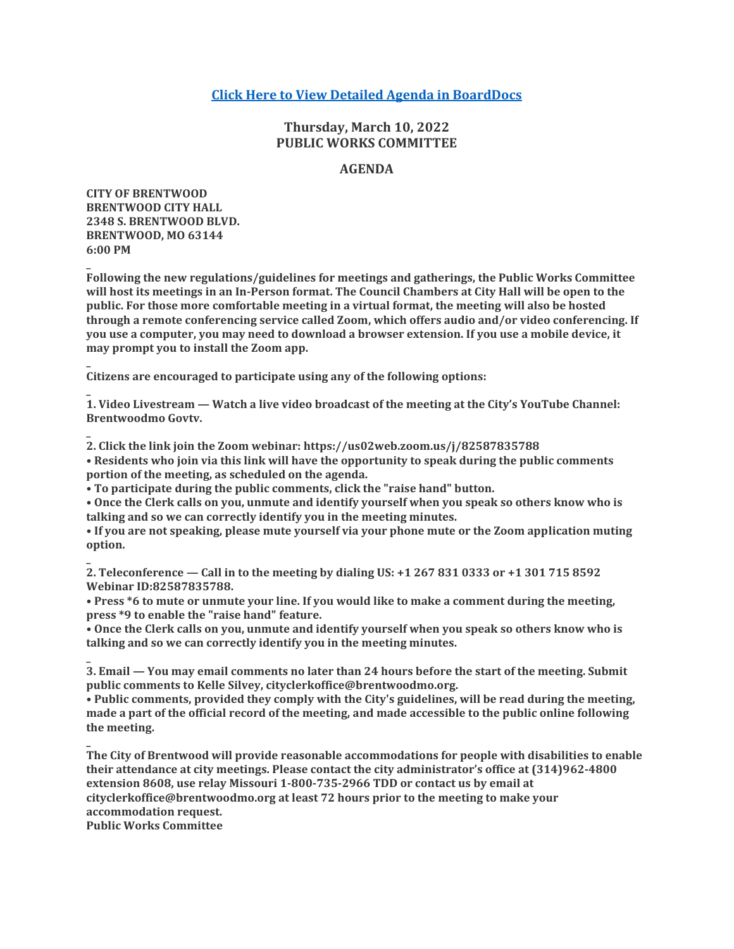# **[Click Here to View Detailed Agenda in BoardDocs](http://go.boarddocs.com/mo/cob/Board.nsf/goto?open&id=CBNUH37C142F)**

# **Thursday, March 10, 2022 PUBLIC WORKS COMMITTEE**

## **AGENDA**

**CITY OF BRENTWOOD BRENTWOOD CITY HALL 2348 S. BRENTWOOD BLVD. BRENTWOOD, MO 63144 6:00 PM**

**\_**

**\_**

**\_**

**\_**

**\_**

**\_**

**Following the new regulations/guidelines for meetings and gatherings, the Public Works Committee will host its meetings in an In-Person format. The Council Chambers at City Hall will be open to the public. For those more comfortable meeting in a virtual format, the meeting will also be hosted through a remote conferencing service called Zoom, which offers audio and/or video conferencing. If you use a computer, you may need to download a browser extension. If you use a mobile device, it may prompt you to install the Zoom app.**

**Citizens are encouraged to participate using any of the following options:**

**1. Video Livestream — Watch a live video broadcast of the meeting at the City's YouTube Channel: Brentwoodmo Govtv.**

**2. Click the link join the Zoom webinar: https://us02web.zoom.us/j/82587835788**

**• Residents who join via this link will have the opportunity to speak during the public comments portion of the meeting, as scheduled on the agenda.**

**• To participate during the public comments, click the "raise hand" button.**

**• Once the Clerk calls on you, unmute and identify yourself when you speak so others know who is talking and so we can correctly identify you in the meeting minutes.**

**• If you are not speaking, please mute yourself via your phone mute or the Zoom application muting option.**

**2. Teleconference — Call in to the meeting by dialing US: +1 267 831 0333 or +1 301 715 8592 Webinar ID:82587835788.**

**• Press \*6 to mute or unmute your line. If you would like to make a comment during the meeting, press \*9 to enable the "raise hand" feature.**

**• Once the Clerk calls on you, unmute and identify yourself when you speak so others know who is talking and so we can correctly identify you in the meeting minutes.**

**\_ 3. Email — You may email comments no later than 24 hours before the start of the meeting. Submit public comments to Kelle Silvey, cityclerkoffice@brentwoodmo.org.**

**• Public comments, provided they comply with the City's guidelines, will be read during the meeting, made a part of the official record of the meeting, and made accessible to the public online following the meeting.**

**The City of Brentwood will provide reasonable accommodations for people with disabilities to enable their attendance at city meetings. Please contact the city administrator's office at (314)962-4800 extension 8608, use relay Missouri 1-800-735-2966 TDD or contact us by email at cityclerkoffice@brentwoodmo.org at least 72 hours prior to the meeting to make your accommodation request. Public Works Committee**